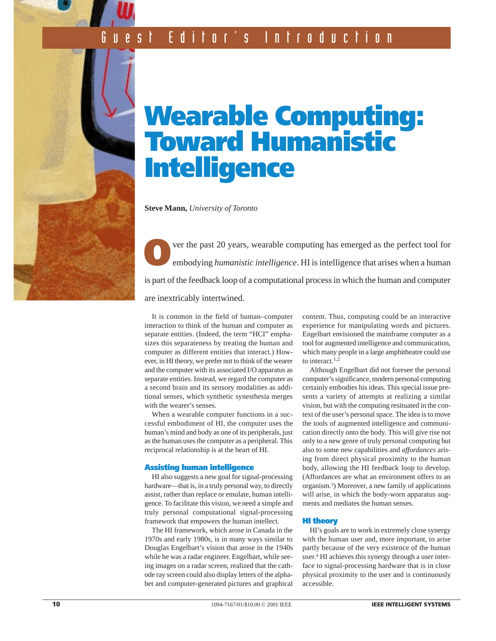# **Wearable Computing: Toward Humanistic Intelligence**

**Steve Mann,** *University of Toronto*

**O**ver the past 20 years, wearable computing has emerged as the perfect tool for embodying *humanistic intelligence*. HI is intelligence that arises when a human is part of the feedback loop of a computational process in which the human and computer are inextricably intertwined.

It is common in the field of human–computer interaction to think of the human and computer as separate entities. (Indeed, the term "HCI" emphasizes this separateness by treating the human and computer as different entities that interact.) However, in HI theory, we prefer not to think of the wearer and the computer with its associated I/O apparatus as separate entities. Instead, we regard the computer as a second brain and its sensory modalities as additional senses, which synthetic synesthesia merges with the wearer's senses.

When a wearable computer functions in a successful embodiment of HI, the computer uses the human's mind and body as one of its peripherals, just as the human uses the computer as a peripheral. This reciprocal relationship is at the heart of HI.

#### **Assisting human intelligence**

HI also suggests a new goal for signal-processing hardware—that is, in a truly personal way, to directly assist, rather than replace or emulate, human intelligence. To facilitate this vision, we need a simple and truly personal computational signal-processing framework that empowers the human intellect.

The HI framework, which arose in Canada in the 1970s and early 1980s, is in many ways similar to Douglas Engelbart's vision that arose in the 1940s while he was a radar engineer. Engelbart, while seeing images on a radar screen, realized that the cathode ray screen could also display letters of the alphabet and computer-generated pictures and graphical content. Thus, computing could be an interactive experience for manipulating words and pictures. Engelbart envisioned the mainframe computer as a tool for augmented intelligence and communication, which many people in a large amphitheatre could use to interact.<sup>1,2</sup>

Although Engelbart did not foresee the personal computer's significance, modern personal computing certainly embodies his ideas. This special issue presents a variety of attempts at realizing a similar vision, but with the computing resituated in the context of the user's personal space. The idea is to move the tools of augmented intelligence and communication directly onto the body. This will give rise not only to a new genre of truly personal computing but also to some new capabilities and *affordances* arising from direct physical proximity to the human body, allowing the HI feedback loop to develop. (Affordances are what an environment offers to an organism.3) Moreover, a new family of applications will arise, in which the body-worn apparatus augments and mediates the human senses.

#### **HI theory**

HI's goals are to work in extremely close synergy with the human user and, more important, to arise partly because of the very existence of the human user.4 HI achieves this synergy through a user interface to signal-processing hardware that is in close physical proximity to the user and is continuously accessible.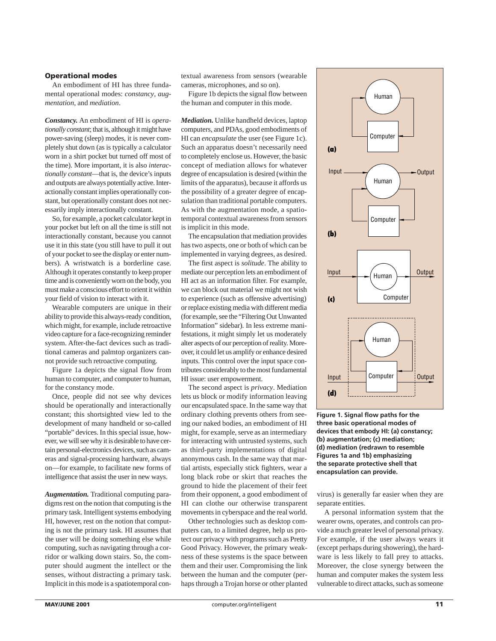#### **Operational modes**

An embodiment of HI has three fundamental operational modes: *constancy*, *augmentation*, and *mediation*.

*Constancy.* An embodiment of HI is *operationally constant*; that is, although it might have power-saving (sleep) modes, it is never completely shut down (as is typically a calculator worn in a shirt pocket but turned off most of the time). More important, it is also *interactionally constant*—that is, the device's inputs and outputs are always potentially active. Interactionally constant implies operationally constant, but operationally constant does not necessarily imply interactionally constant.

So, for example, a pocket calculator kept in your pocket but left on all the time is still not interactionally constant, because you cannot use it in this state (you still have to pull it out of your pocket to see the display or enter numbers). A wristwatch is a borderline case. Although it operates constantly to keep proper time and is conveniently worn on the body, you must make a conscious effort to orient it within your field of vision to interact with it.

Wearable computers are unique in their ability to provide this always-ready condition, which might, for example, include retroactive video capture for a face-recognizing reminder system. After-the-fact devices such as traditional cameras and palmtop organizers cannot provide such retroactive computing.

Figure 1a depicts the signal flow from human to computer, and computer to human, for the constancy mode.

Once, people did not see why devices should be operationally and interactionally constant; this shortsighted view led to the development of many handheld or so-called "portable" devices. In this special issue, however, we will see why it is desirable to have certain personal-electronics devices, such as cameras and signal-processing hardware, always on—for example, to facilitate new forms of intelligence that assist the user in new ways.

*Augmentation.* Traditional computing paradigms rest on the notion that computing is the primary task. Intelligent systems embodying HI, however, rest on the notion that computing is not the primary task. HI assumes that the user will be doing something else while computing, such as navigating through a corridor or walking down stairs. So, the computer should augment the intellect or the senses, without distracting a primary task. Implicit in this mode is a spatiotemporal contextual awareness from sensors (wearable cameras, microphones, and so on).

Figure 1b depicts the signal flow between the human and computer in this mode.

*Mediation.* Unlike handheld devices, laptop computers, and PDAs, good embodiments of HI can *encapsulate* the user (see Figure 1c). Such an apparatus doesn't necessarily need to completely enclose us. However, the basic concept of mediation allows for whatever degree of encapsulation is desired (within the limits of the apparatus), because it affords us the possibility of a greater degree of encapsulation than traditional portable computers. As with the augmentation mode, a spatiotemporal contextual awareness from sensors is implicit in this mode.

The encapsulation that mediation provides has two aspects, one or both of which can be implemented in varying degrees, as desired.

The first aspect is *solitude*. The ability to mediate our perception lets an embodiment of HI act as an information filter. For example, we can block out material we might not wish to experience (such as offensive advertising) or replace existing media with different media (for example, see the "Filtering Out Unwanted Information" sidebar). In less extreme manifestations, it might simply let us moderately alter aspects of our perception of reality. Moreover, it could let us amplify or enhance desired inputs. This control over the input space contributes considerably to the most fundamental HI issue: user empowerment.

The second aspect is *privacy*. Mediation lets us block or modify information leaving our encapsulated space. In the same way that ordinary clothing prevents others from seeing our naked bodies, an embodiment of HI might, for example, serve as an intermediary for interacting with untrusted systems, such as third-party implementations of digital anonymous cash. In the same way that martial artists, especially stick fighters, wear a long black robe or skirt that reaches the ground to hide the placement of their feet from their opponent, a good embodiment of HI can clothe our otherwise transparent movements in cyberspace and the real world.

Other technologies such as desktop computers can, to a limited degree, help us protect our privacy with programs such as Pretty Good Privacy. However, the primary weakness of these systems is the space between them and their user. Compromising the link between the human and the computer (perhaps through a Trojan horse or other planted



**Figure 1. Signal flow paths for the three basic operational modes of devices that embody HI: (a) constancy; (b) augmentation; (c) mediation; (d) mediation (redrawn to resemble Figures 1a and 1b) emphasizing the separate protective shell that encapsulation can provide.**

virus) is generally far easier when they are separate entities.

A personal information system that the wearer owns, operates, and controls can provide a much greater level of personal privacy. For example, if the user always wears it (except perhaps during showering), the hardware is less likely to fall prey to attacks. Moreover, the close synergy between the human and computer makes the system less vulnerable to direct attacks, such as someone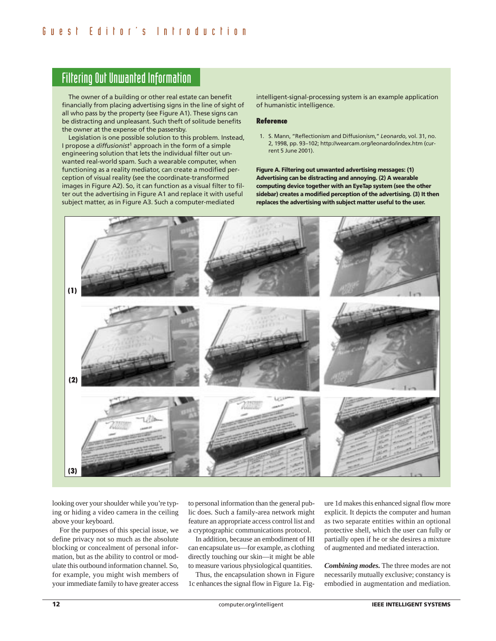## Filtering Out Unwanted Information

The owner of a building or other real estate can benefit financially from placing advertising signs in the line of sight of all who pass by the property (see Figure A1). These signs can be distracting and unpleasant. Such theft of solitude benefits the owner at the expense of the passersby.

Legislation is one possible solution to this problem. Instead, I propose a *diffusionist*<sup>1</sup> approach in the form of a simple engineering solution that lets the individual filter out unwanted real-world spam. Such a wearable computer, when functioning as a reality mediator, can create a modified perception of visual reality (see the coordinate-transformed images in Figure A2). So, it can function as a visual filter to filter out the advertising in Figure A1 and replace it with useful subject matter, as in Figure A3. Such a computer-mediated

intelligent-signal-processing system is an example application of humanistic intelligence.

#### **Reference**

1. S. Mann, "Reflectionism and Diffusionism," *Leonardo*, vol. 31, no. 2, 1998, pp. 93–102; http://wearcam.org/leonardo/index.htm (current 5 June 2001).

**Figure A. Filtering out unwanted advertising messages: (1) Advertising can be distracting and annoying. (2) A wearable computing device together with an EyeTap system (see the other sidebar) creates a modified perception of the advertising. (3) It then replaces the advertising with subject matter useful to the user.**



looking over your shoulder while you're typing or hiding a video camera in the ceiling above your keyboard.

For the purposes of this special issue, we define privacy not so much as the absolute blocking or concealment of personal information, but as the ability to control or modulate this outbound information channel. So, for example, you might wish members of your immediate family to have greater access

to personal information than the general public does. Such a family-area network might feature an appropriate access control list and a cryptographic communications protocol.

In addition, because an embodiment of HI can encapsulate us—for example, as clothing directly touching our skin—it might be able to measure various physiological quantities.

Thus, the encapsulation shown in Figure 1c enhances the signal flow in Figure 1a. Figure 1d makes this enhanced signal flow more explicit. It depicts the computer and human as two separate entities within an optional protective shell, which the user can fully or partially open if he or she desires a mixture of augmented and mediated interaction.

*Combining modes.* The three modes are not necessarily mutually exclusive; constancy is embodied in augmentation and mediation.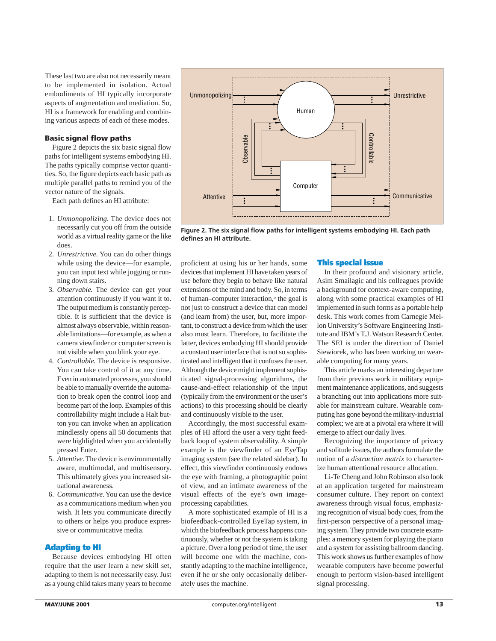These last two are also not necessarily meant to be implemented in isolation. Actual embodiments of HI typically incorporate aspects of augmentation and mediation. So, HI is a framework for enabling and combining various aspects of each of these modes.

#### **Basic signal flow paths**

Figure 2 depicts the six basic signal flow paths for intelligent systems embodying HI. The paths typically comprise vector quantities. So, the figure depicts each basic path as multiple parallel paths to remind you of the vector nature of the signals.

Each path defines an HI attribute:

- 1. *Unmonopolizing.* The device does not necessarily cut you off from the outside world as a virtual reality game or the like does.
- 2. *Unrestrictive.* You can do other things while using the device—for example, you can input text while jogging or running down stairs.
- 3. *Observable.* The device can get your attention continuously if you want it to. The output medium is constantly perceptible. It is sufficient that the device is almost always observable, within reasonable limitations—for example, as when a camera viewfinder or computer screen is not visible when you blink your eye.
- 4*. Controllable.* The device is responsive. You can take control of it at any time. Even in automated processes, you should be able to manually override the automation to break open the control loop and become part of the loop. Examples of this controllability might include a Halt button you can invoke when an application mindlessly opens all 50 documents that were highlighted when you accidentally pressed Enter.
- 5. *Attentive.* The device is environmentally aware, multimodal, and multisensory. This ultimately gives you increased situational awareness.
- 6. *Communicative.*You can use the device as a communications medium when you wish. It lets you communicate directly to others or helps you produce expressive or communicative media.

#### **Adapting to HI**

Because devices embodying HI often require that the user learn a new skill set, adapting to them is not necessarily easy. Just as a young child takes many years to become



**Figure 2. The six signal flow paths for intelligent systems embodying HI. Each path defines an HI attribute.**

proficient at using his or her hands, some devices that implement HI have taken years of use before they begin to behave like natural extensions of the mind and body. So, in terms of human–computer interaction,<sup>5</sup> the goal is not just to construct a device that can model (and learn from) the user, but, more important, to construct a device from which the user also must learn. Therefore, to facilitate the latter, devices embodying HI should provide a constant user interface that is not so sophisticated and intelligent that it confuses the user. Although the device might implement sophisticated signal-processing algorithms, the cause-and-effect relationship of the input (typically from the environment or the user's actions) to this processing should be clearly and continuously visible to the user.

Accordingly, the most successful examples of HI afford the user a very tight feedback loop of system observability. A simple example is the viewfinder of an EyeTap imaging system (see the related sidebar). In effect, this viewfinder continuously endows the eye with framing, a photographic point of view, and an intimate awareness of the visual effects of the eye's own imageprocessing capabilities.

A more sophisticated example of HI is a biofeedback-controlled EyeTap system, in which the biofeedback process happens continuously, whether or not the system is taking a picture. Over a long period of time, the user will become one with the machine, constantly adapting to the machine intelligence, even if he or she only occasionally deliberately uses the machine.

#### **This special issue**

In their profound and visionary article, Asim Smailagic and his colleagues provide a background for context-aware computing, along with some practical examples of HI implemented in such forms as a portable help desk. This work comes from Carnegie Mellon University's Software Engineering Institute and IBM's T.J. Watson Research Center. The SEI is under the direction of Daniel Siewiorek, who has been working on wearable computing for many years.

This article marks an interesting departure from their previous work in military equipment maintenance applications, and suggests a branching out into applications more suitable for mainstream culture. Wearable computing has gone beyond the military-industrial complex; we are at a pivotal era where it will emerge to affect our daily lives.

Recognizing the importance of privacy and solitude issues, the authors formulate the notion of a *distraction matrix* to characterize human attentional resource allocation.

Li-Te Cheng and John Robinson also look at an application targeted for mainstream consumer culture. They report on context awareness through visual focus, emphasizing recognition of visual body cues, from the first-person perspective of a personal imaging system. They provide two concrete examples: a memory system for playing the piano and a system for assisting ballroom dancing. This work shows us further examples of how wearable computers have become powerful enough to perform vision-based intelligent signal processing.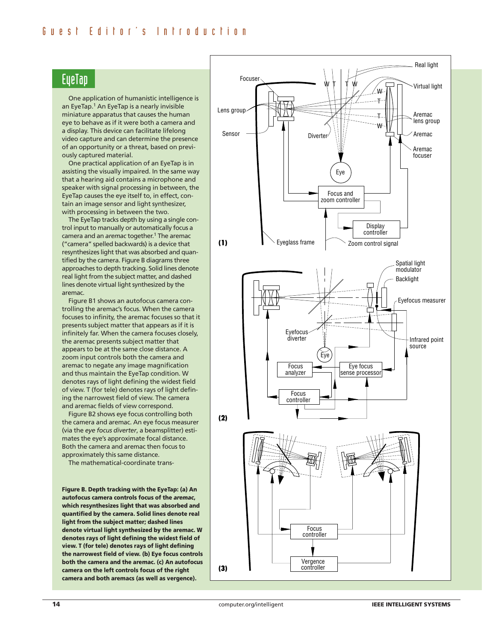## **EueTap**

One application of humanistic intelligence is an EyeTap.<sup>1</sup> An EyeTap is a nearly invisible miniature apparatus that causes the human eye to behave as if it were both a camera and a display. This device can facilitate lifelong video capture and can determine the presence of an opportunity or a threat, based on previously captured material.

One practical application of an EyeTap is in assisting the visually impaired. In the same way that a hearing aid contains a microphone and speaker with signal processing in between, the EyeTap causes the eye itself to, in effect, contain an image sensor and light synthesizer, with processing in between the two.

The EyeTap tracks depth by using a single control input to manually or automatically focus a camera and an *aremac* together.1 The aremac ("camera" spelled backwards) is a device that resynthesizes light that was absorbed and quantified by the camera. Figure B diagrams three approaches to depth tracking. Solid lines denote real light from the subject matter, and dashed lines denote virtual light synthesized by the aremac.

Figure B1 shows an autofocus camera controlling the aremac's focus. When the camera focuses to infinity, the aremac focuses so that it presents subject matter that appears as if it is infinitely far. When the camera focuses closely, the aremac presents subject matter that appears to be at the same close distance. A zoom input controls both the camera and aremac to negate any image magnification and thus maintain the EyeTap condition. W denotes rays of light defining the widest field of view. T (for tele) denotes rays of light defining the narrowest field of view. The camera and aremac fields of view correspond.

Figure B2 shows eye focus controlling both the camera and aremac. An eye focus measurer (via the *eye focus diverter*, a beamsplitter) estimates the eye's approximate focal distance. Both the camera and aremac then focus to approximately this same distance.

The mathematical-coordinate trans-

**Figure B. Depth tracking with the EyeTap: (a) An autofocus camera controls focus of the** *aremac***, which resynthesizes light that was absorbed and quantified by the camera. Solid lines denote real light from the subject matter; dashed lines denote virtual light synthesized by the aremac. W denotes rays of light defining the widest field of view. T (for tele) denotes rays of light defining the narrowest field of view. (b) Eye focus controls both the camera and the aremac. (c) An autofocus camera on the left controls focus of the right camera and both aremacs (as well as vergence).**